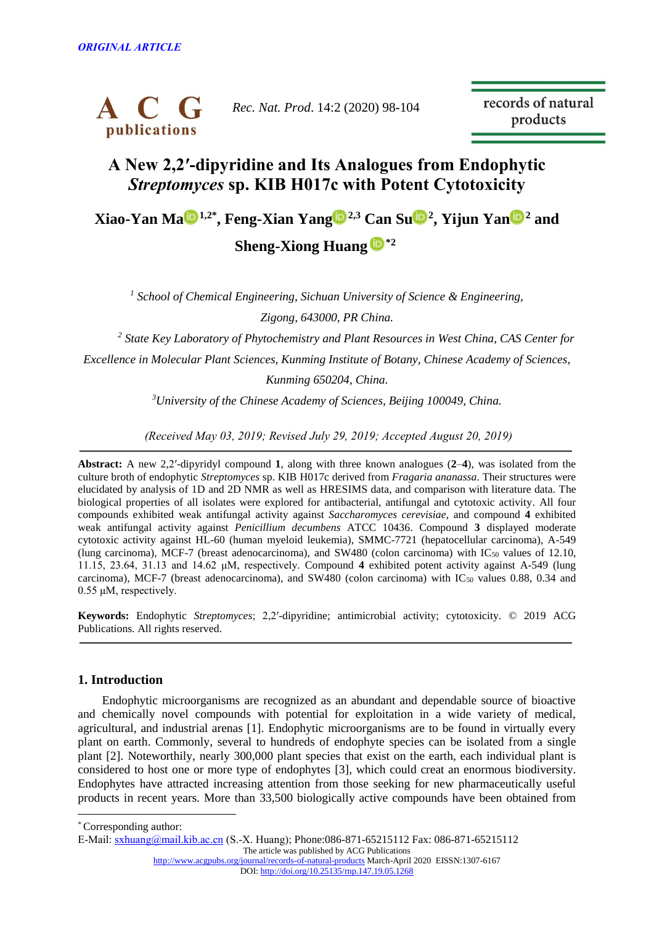

*Rec. Nat. Prod*. 14:2 (2020) 98-104

records of natural products

# **A New 2,2′-dipyridine and Its Analogues from Endophytic** *Streptomyces* **sp. KIB H017c with Potent Cytotoxicity**

**Xiao-Yan M[a](http://orcid.org/0000-0002-4592-4800) 1,2\* , Feng-Xian Yan[g](http://orcid.org/0000-0003-4931-6244) 2,3 Can S[u](http://orcid.org/0000-0002-6031-3581) <sup>2</sup> , Yijun Ya[n](http://orcid.org/0000-0001-7727-8084) <sup>2</sup> and** 

**Sheng-Xiong Huang [\\*](http://orcid.org/0000-0002-3616-8556)2**

<sup>1</sup> School of Chemical Engineering, Sichuan University of Science & Engineering, *Zigong, 643000, PR China.*

*2 State Key Laboratory of Phytochemistry and Plant Resources in West China, CAS Center for* 

*Excellence in Molecular Plant Sciences, Kunming Institute of Botany, Chinese Academy of Sciences,* 

*Kunming 650204, China.*

*<sup>3</sup>University of the Chinese Academy of Sciences, Beijing 100049, China.*

*(Received May 03, 2019; Revised July 29, 2019; Accepted August 20, 2019)*

**Abstract:** A new 2,2′-dipyridyl compound **1**, along with three known analogues (**2**–**4**), was isolated from the culture broth of endophytic *Streptomyces* sp. KIB H017c derived from *Fragaria ananassa*. Their structures were elucidated by analysis of 1D and 2D NMR as well as HRESIMS data, and comparison with literature data. The biological properties of all isolates were explored for antibacterial, antifungal and cytotoxic activity. All four compounds exhibited weak antifungal activity against *Saccharomyces cerevisiae*, and compound **4** exhibited weak antifungal activity against *Penicillium decumbens* ATCC 10436. Compound **3** displayed moderate cytotoxic activity against HL-60 (human myeloid leukemia), SMMC-7721 (hepatocellular carcinoma), A-549 (lung carcinoma), MCF-7 (breast adenocarcinoma), and SW480 (colon carcinoma) with  $IC_{50}$  values of 12.10, 11.15, 23.64, 31.13 and 14.62 μM, respectively. Compound **4** exhibited potent activity against A-549 (lung carcinoma), MCF-7 (breast adenocarcinoma), and SW480 (colon carcinoma) with  $IC_{50}$  values 0.88, 0.34 and 0.55 μM, respectively.

**Keywords:** Endophytic *Streptomyces*; 2,2′-dipyridine; antimicrobial activity; cytotoxicity. © 2019 ACG Publications. All rights reserved.

## **1. Introduction**

Endophytic microorganisms are recognized as an abundant and dependable source of bioactive and chemically novel compounds with potential for exploitation in a wide variety of medical, agricultural, and industrial arenas [1]. Endophytic microorganisms are to be found in virtually every plant on earth. Commonly, several to hundreds of endophyte species can be isolated from a single plant [2]. Noteworthily, nearly 300,000 plant species that exist on the earth, each individual plant is considered to host one or more type of endophytes [3], which could creat an enormous biodiversity. Endophytes have attracted increasing attention from those seeking for new pharmaceutically useful products in recent years. More than 33,500 biologically active compounds have been obtained from

\* Corresponding author:

 $\overline{a}$ 

E-Mail: [sxhuang@mail.kib.ac.cn](mailto:sxhuang@mail.kib.ac.cn) (S.-X. Huang); Phone:086-871-65215112 Fax: 086-871-65215112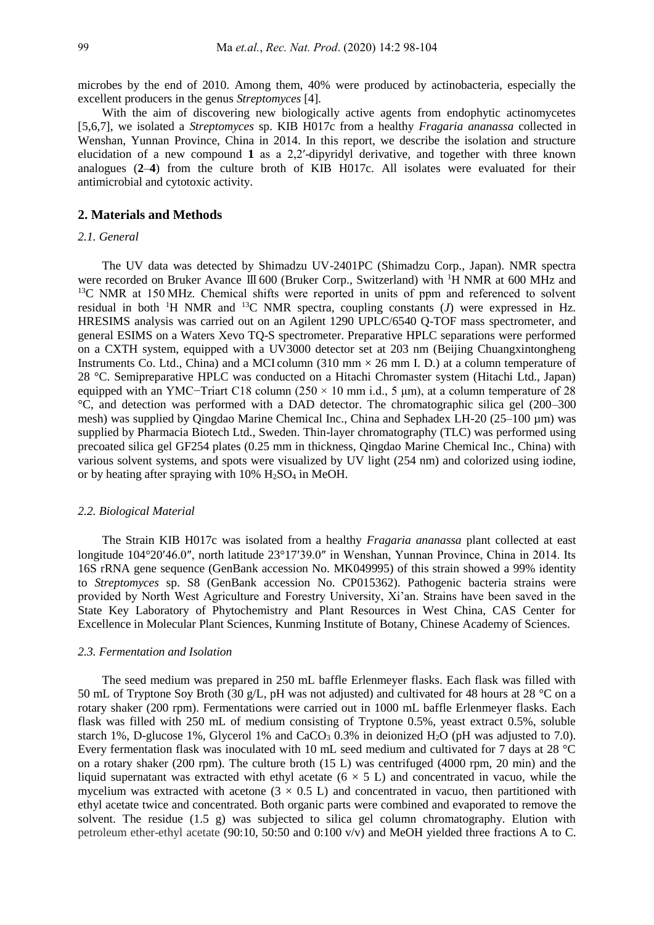microbes by the end of 2010. Among them, 40% were produced by actinobacteria, especially the excellent producers in the genus *Streptomyces* [4].

With the aim of discovering new biologically active agents from endophytic actinomycetes [5,6,7], we isolated a *Streptomyces* sp. KIB H017c from a healthy *Fragaria ananassa* collected in Wenshan, Yunnan Province, China in 2014. In this report, we describe the isolation and structure elucidation of a new compound **1** as a 2,2′-dipyridyl derivative, and together with three known analogues (**2**–**4**) from the culture broth of KIB H017c. All isolates were evaluated for their antimicrobial and cytotoxic activity.

### **2. Materials and Methods**

#### *2.1. General*

The UV data was detected by Shimadzu UV-2401PC (Shimadzu Corp., Japan). NMR spectra were recorded on Bruker Avance Ⅲ 600 (Bruker Corp., Switzerland) with <sup>1</sup>H NMR at 600 MHz and <sup>13</sup>C NMR at 150 MHz. Chemical shifts were reported in units of ppm and referenced to solvent residual in both <sup>1</sup>H NMR and <sup>13</sup>C NMR spectra, coupling constants  $(J)$  were expressed in Hz. HRESIMS analysis was carried out on an Agilent 1290 UPLC/6540 Q-TOF mass spectrometer, and general ESIMS on a Waters Xevo TQ-S spectrometer. Preparative HPLC separations were performed on a CXTH system, equipped with a UV3000 detector set at 203 nm (Beijing Chuangxintongheng Instruments Co. Ltd., China) and a MCI column (310 mm  $\times$  26 mm I. D.) at a column temperature of 28 °C. Semipreparative HPLC was conducted on a Hitachi Chromaster system (Hitachi Ltd., Japan) equipped with an YMC−Triart C18 column (250 × 10 mm i.d., 5 μm), at a column temperature of 28 °C, and detection was performed with a DAD detector. The chromatographic silica gel (200–300 mesh) was supplied by Qingdao Marine Chemical Inc., China and Sephadex LH-20 (25–100 µm) was supplied by Pharmacia Biotech Ltd., Sweden. Thin-layer chromatography (TLC) was performed using precoated silica gel GF254 plates (0.25 mm in thickness, Qingdao Marine Chemical Inc., China) with various solvent systems, and spots were visualized by UV light (254 nm) and colorized using iodine, or by heating after spraying with  $10\%$  H<sub>2</sub>SO<sub>4</sub> in MeOH.

#### *2.2. Biological Material*

The Strain KIB H017c was isolated from a healthy *Fragaria ananassa* plant collected at east longitude 104°20′46.0″, north latitude 23°17′39.0″ in Wenshan, Yunnan Province, China in 2014. Its 16S rRNA gene sequence (GenBank accession No. MK049995) of this strain showed a 99% identity to *Streptomyces* sp. S8 (GenBank accession No. CP015362). Pathogenic bacteria strains were provided by North West Agriculture and Forestry University, Xi'an. Strains have been saved in the State Key Laboratory of Phytochemistry and Plant Resources in West China, CAS Center for Excellence in Molecular Plant Sciences, Kunming Institute of Botany, Chinese Academy of Sciences.

#### *2.3. Fermentation and Isolation*

The seed medium was prepared in 250 mL baffle Erlenmeyer flasks. Each flask was filled with 50 mL of Tryptone Soy Broth (30 g/L, pH was not adjusted) and cultivated for 48 hours at 28 °C on a rotary shaker (200 rpm). Fermentations were carried out in 1000 mL baffle Erlenmeyer flasks. Each flask was filled with 250 mL of medium consisting of Tryptone 0.5%, yeast extract 0.5%, soluble starch 1%, D-glucose 1%, Glycerol 1% and CaCO<sub>3</sub> 0.3% in deionized H<sub>2</sub>O (pH was adjusted to 7.0). Every fermentation flask was inoculated with 10 mL seed medium and cultivated for 7 days at 28 °C on a rotary shaker (200 rpm). The culture broth (15 L) was centrifuged (4000 rpm, 20 min) and the liquid supernatant was extracted with ethyl acetate ( $6 \times 5$  L) and concentrated in vacuo, while the mycelium was extracted with acetone  $(3 \times 0.5 \text{ L})$  and concentrated in vacuo, then partitioned with ethyl acetate twice and concentrated. Both organic parts were combined and evaporated to remove the solvent. The residue (1.5 g) was subjected to silica gel column chromatography. Elution with petroleum ether-ethyl acetate (90:10, 50:50 and 0:100 v/v) and MeOH yielded three fractions A to C.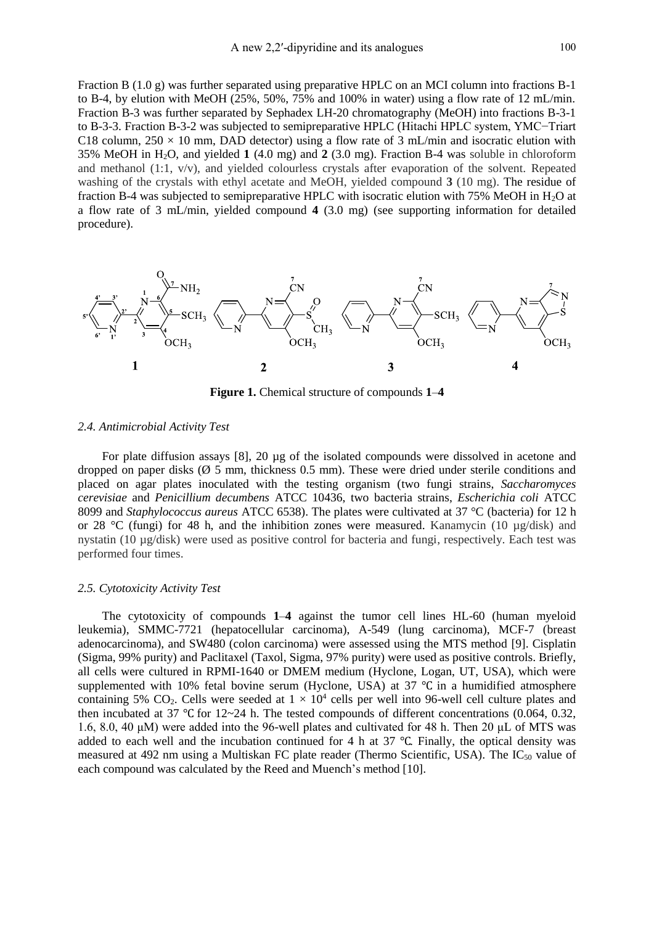Fraction B (1.0 g) was further separated using preparative HPLC on an MCI column into fractions B-1 to B-4, by elution with MeOH (25%, 50%, 75% and 100% in water) using a flow rate of 12 mL/min. Fraction B-3 was further separated by Sephadex LH-20 chromatography (MeOH) into fractions B-3-1 to B-3-3. Fraction B-3-2 was subjected to semipreparative HPLC (Hitachi HPLC system, YMC−Triart C18 column,  $250 \times 10$  mm, DAD detector) using a flow rate of 3 mL/min and isocratic elution with 35% MeOH in H2O, and yielded **1** (4.0 mg) and **2** (3.0 mg). Fraction B-4 was soluble in chloroform and methanol (1:1, v/v), and yielded colourless crystals after evaporation of the solvent. Repeated washing of the crystals with ethyl acetate and MeOH, yielded compound **3** (10 mg). The residue of fraction B-4 was subjected to semipreparative HPLC with isocratic elution with 75% MeOH in H<sub>2</sub>O at a flow rate of 3 mL/min, yielded compound **4** (3.0 mg) (see supporting information for detailed procedure).



**Figure 1.** Chemical structure of compounds **1**–**4**

#### *2.4. Antimicrobial Activity Test*

For plate diffusion assays [8], 20 µg of the isolated compounds were dissolved in acetone and dropped on paper disks  $(\emptyset 5$  mm, thickness 0.5 mm). These were dried under sterile conditions and placed on agar plates inoculated with the testing organism (two fungi strains, *Saccharomyces cerevisiae* and *Penicillium decumbens* ATCC 10436, two bacteria strains, *Escherichia coli* ATCC 8099 and *Staphylococcus aureus* ATCC 6538). The plates were cultivated at 37 °C (bacteria) for 12 h or 28 °C (fungi) for 48 h, and the inhibition zones were measured. Kanamycin (10 µg/disk) and nystatin (10 µg/disk) were used as positive control for bacteria and fungi, respectively. Each test was performed four times.

#### *2.5. Cytotoxicity Activity Test*

The cytotoxicity of compounds **1**–**4** against the tumor cell lines HL-60 (human myeloid leukemia), SMMC-7721 (hepatocellular carcinoma), A-549 (lung carcinoma), MCF-7 (breast adenocarcinoma), and SW480 (colon carcinoma) were assessed using the MTS method [9]. Cisplatin (Sigma, 99% purity) and Paclitaxel (Taxol, Sigma, 97% purity) were used as positive controls. Briefly, all cells were cultured in RPMI-1640 or DMEM medium (Hyclone, Logan, UT, USA), which were supplemented with 10% fetal bovine serum (Hyclone, USA) at 37 ℃ in a humidified atmosphere containing 5% CO<sub>2</sub>. Cells were seeded at  $1 \times 10^4$  cells per well into 96-well cell culture plates and then incubated at 37 ℃ for 12~24 h. The tested compounds of different concentrations (0.064, 0.32, 1.6, 8.0, 40 μM) were added into the 96-well plates and cultivated for 48 h. Then 20 μL of MTS was added to each well and the incubation continued for 4 h at 37 ℃. Finally, the optical density was measured at 492 nm using a Multiskan FC plate reader (Thermo Scientific, USA). The IC<sub>50</sub> value of each compound was calculated by the Reed and Muench's method [10].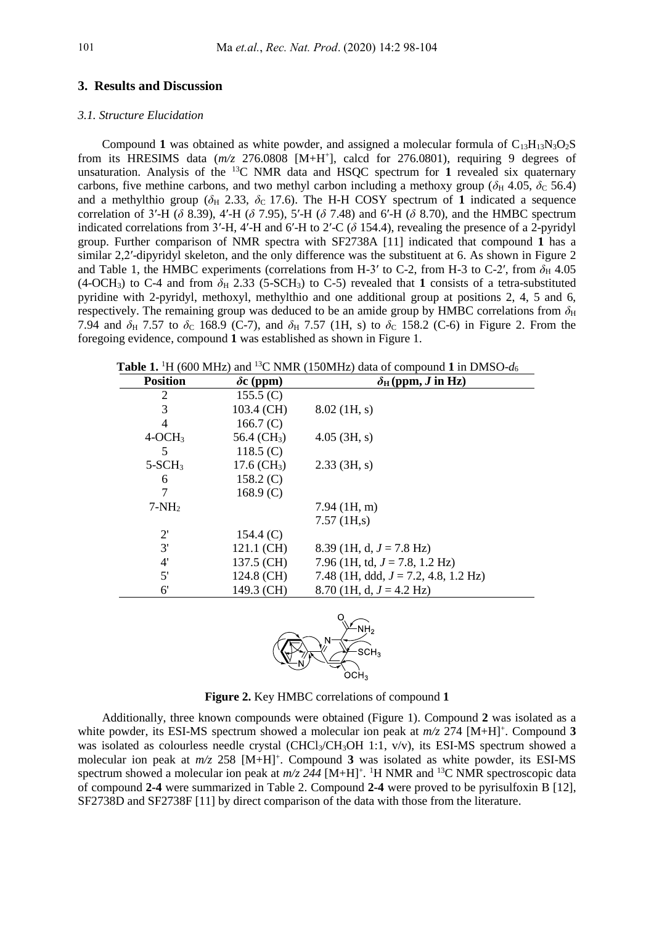#### **3. Results and Discussion**

#### *3.1. Structure Elucidation*

Compound 1 was obtained as white powder, and assigned a molecular formula of  $C_{13}H_{13}N_3O_2S$ from its HRESIMS data  $(m/z)$  276.0808 [M+H<sup>+</sup>], calcd for 276.0801), requiring 9 degrees of unsaturation. Analysis of the <sup>13</sup>C NMR data and HSQC spectrum for **1** revealed six quaternary carbons, five methine carbons, and two methyl carbon including a methoxy group ( $\delta_H$  4.05,  $\delta_C$  56.4) and a methylthio group ( $\delta$ <sub>H</sub> 2.33,  $\delta$ <sub>C</sub> 17.6). The H-H COSY spectrum of 1 indicated a sequence correlation of 3′-H (*δ* 8.39), 4′-H (*δ* 7.95), 5′-H (*δ* 7.48) and 6′-H (*δ* 8.70), and the HMBC spectrum indicated correlations from 3<sup>'</sup>-H, 4<sup>'</sup>-H and 6<sup>'</sup>-H to 2<sup>'</sup>-C ( $\delta$  154.4), revealing the presence of a 2-pyridyl group. Further comparison of NMR spectra with SF2738A [11] indicated that compound **1** has a similar 2,2′-dipyridyl skeleton, and the only difference was the substituent at 6. As shown in Figure 2 and Table 1, the HMBC experiments (correlations from H-3' to C-2, from H-3 to C-2', from  $\delta_H$  4.05 (4-OCH<sub>3</sub>) to C-4 and from  $\delta$ <sub>H</sub> 2.33 (5-SCH<sub>3</sub>) to C-5) revealed that 1 consists of a tetra-substituted pyridine with 2-pyridyl, methoxyl, methylthio and one additional group at positions 2, 4, 5 and 6, respectively. The remaining group was deduced to be an amide group by HMBC correlations from  $\delta_H$ 7.94 and  $\delta_H$  7.57 to  $\delta_C$  168.9 (C-7), and  $\delta_H$  7.57 (1H, s) to  $\delta_C$  158.2 (C-6) in Figure 2. From the foregoing evidence, compound **1** was established as shown in Figure 1.

**Table 1.** <sup>1</sup>H (600 MHz) and <sup>13</sup>C NMR (150 MHz) data of compound 1 in DMSO- $d_6$ 

| <b>Position</b> | $\delta c$ (ppm)          | $\delta_H$ (ppm, J in Hz)               |
|-----------------|---------------------------|-----------------------------------------|
| 2               | 155.5(C)                  |                                         |
| 3               | 103.4 (CH)                | $8.02$ (1H, s)                          |
| 4               | 166.7 $(C)$               |                                         |
| $4-OCH3$        | 56.4 $(CH_3)$             | $4.05$ (3H, s)                          |
| 5               | 118.5 $(C)$               |                                         |
| $5-SCH3$        | $17.6$ (CH <sub>3</sub> ) | $2.33$ (3H, s)                          |
| 6               | 158.2(C)                  |                                         |
| 7               | 168.9 $(C)$               |                                         |
| $7-NH2$         |                           | $7.94$ (1H, m)                          |
|                 |                           | $7.57 \, (\text{1H,s})$                 |
| $2^{\prime}$    | 154.4 $(C)$               |                                         |
| 3'              | 121.1 (CH)                | 8.39 (1H, d, $J = 7.8$ Hz)              |
| 4'              | 137.5 (CH)                | 7.96 (1H, td, $J = 7.8$ , 1.2 Hz)       |
| 5'              | 124.8 (CH)                | 7.48 (1H, ddd, $J = 7.2$ , 4.8, 1.2 Hz) |
| 6'              | 149.3 (CH)                | 8.70 (1H, d, $J = 4.2$ Hz)              |
|                 |                           |                                         |



**Figure 2.** Key HMBC correlations of compound **1**

Additionally, three known compounds were obtained (Figure 1). Compound **2** was isolated as a white powder, its ESI-MS spectrum showed a molecular ion peak at  $m/z$  274 [M+H]<sup>+</sup>. Compound 3 was isolated as colourless needle crystal (CHCl<sub>3</sub>/CH<sub>3</sub>OH 1:1,  $v/v$ ), its ESI-MS spectrum showed a molecular ion peak at  $m/z$  258 [M+H]<sup>+</sup>. Compound 3 was isolated as white powder, its ESI-MS spectrum showed a molecular ion peak at  $m/z$  244 [M+H]<sup>+</sup>. <sup>1</sup>H NMR and <sup>13</sup>C NMR spectroscopic data of compound **2-4** were summarized in Table 2. Compound **2-4** were proved to be pyrisulfoxin B [12], SF2738D and SF2738F [11] by direct comparison of the data with those from the literature.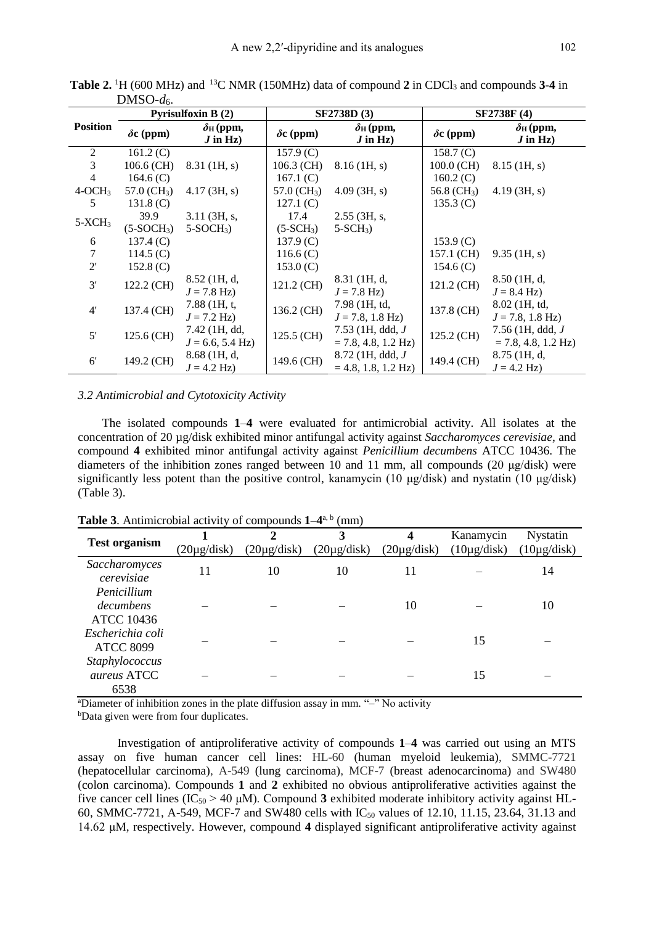|                 | <b>Pyrisulfoxin B (2)</b> |                                            |                  | <b>SF2738D (3)</b>                                   | SF2738F (4)      |                                                      |
|-----------------|---------------------------|--------------------------------------------|------------------|------------------------------------------------------|------------------|------------------------------------------------------|
| <b>Position</b> | $\delta c$ (ppm)          | $\delta$ н (ppm,<br>$J$ in Hz)             | $\delta c$ (ppm) | $\delta$ н (ppm,<br>$J$ in Hz)                       | $\delta c$ (ppm) | $\delta$ н (ppm,<br>$J$ in Hz)                       |
| 2               | 161.2(C)                  |                                            | $157.9$ (C)      |                                                      | 158.7 (C)        |                                                      |
| 3               | $106.6$ (CH)              | $8.31$ (1H, s)                             | $106.3$ (CH)     | $8.16$ (1H, s)                                       | $100.0$ (CH)     | $8.15$ (1H, s)                                       |
| $\overline{4}$  | 164.6 $(C)$               |                                            | 167.1 $(C)$      |                                                      | 160.2(C)         |                                                      |
| $4-OCH3$        | 57.0 $(CH_3)$             | $4.17 \, (3H, s)$                          | 57.0 $(CH_3)$    | 4.09(3H, s)                                          | 56.8 $(CH_3)$    | 4.19(3H, s)                                          |
| 5               | $131.8$ (C)               |                                            | 127.1(C)         |                                                      | 135.3 (C)        |                                                      |
| $5-XCH3$        | 39.9                      | $3.11$ (3H, s,                             | 17.4             | $2.55$ (3H, s,                                       |                  |                                                      |
|                 | $(5-SOCH3)$               | $5-SOCH3$ )                                | $(5-SCH3)$       | $5-SCH_3$                                            |                  |                                                      |
| 6               | 137.4(C)                  |                                            | $137.9$ (C)      |                                                      | 153.9 (C)        |                                                      |
| 7               | 114.5 $(C)$               |                                            | 116.6 $(C)$      |                                                      | 157.1 (CH)       | $9.35$ (1H, s)                                       |
| 2'              | 152.8 $(C)$               |                                            | $153.0 \,(C)$    |                                                      | 154.6 $(C)$      |                                                      |
| 3'              | 122.2 (CH)                | 8.52 (1H, d,<br>$J = 7.8$ Hz)              | 121.2 (CH)       | 8.31 (1H, d,<br>$J = 7.8 \text{ Hz}$                 | 121.2 (CH)       | 8.50 (1H, d,<br>$J = 8.4 \text{ Hz}$                 |
| 4'              | 137.4 (CH)                | $7.88$ (1H, t,<br>$J = 7.2 \text{ Hz}$     | 136.2 (CH)       | 7.98 (1H, td,<br>$J = 7.8$ , 1.8 Hz)                 | 137.8 (CH)       | 8.02 (1H, td,<br>$J = 7.8$ , 1.8 Hz)                 |
| $5'$            | 125.6 (CH)                | 7.42 (1H, dd,<br>$J = 6.6, 5.4 \text{ Hz}$ | 125.5 (CH)       | $7.53$ (1H, ddd, $J$<br>$= 7.8, 4.8, 1.2 \text{ Hz}$ | 125.2 (CH)       | $7.56$ (1H, ddd, $J$<br>$= 7.8, 4.8, 1.2 \text{ Hz}$ |
| $6^{\prime}$    | 149.2 (CH)                | 8.68 (1H, d,<br>$J = 4.2 \text{ Hz}$       | 149.6 (CH)       | $8.72$ (1H, ddd, $J$<br>$= 4.8, 1.8, 1.2$ Hz)        | 149.4 (CH)       | $8.75$ (1H, d,<br>$J = 4.2 \text{ Hz}$               |

**Table 2.** <sup>1</sup>H (600 MHz) and <sup>13</sup>C NMR (150MHz) data of compound **2** in CDCl<sup>3</sup> and compounds **3-4** in DMSO-*d*6.

#### *3.2 Antimicrobial and Cytotoxicity Activity*

The isolated compounds **1**–**4** were evaluated for antimicrobial activity. All isolates at the concentration of 20 µg/disk exhibited minor antifungal activity against *Saccharomyces cerevisiae*, and compound **4** exhibited minor antifungal activity against *Penicillium decumbens* ATCC 10436. The diameters of the inhibition zones ranged between 10 and 11 mm, all compounds (20 μg/disk) were significantly less potent than the positive control, kanamycin (10 μg/disk) and nystatin (10 μg/disk) (Table 3).

**Table 3**. Antimicrobial activity of compounds **1**–**4** a, b (mm)

| <b>Test organism</b>                          | $(20\mu\text{g/disk})$ | $(20\mu g/disk)$ | 3<br>$(20\mu g/disk)$ | 4<br>$(20\mu\text{g/disk})$ | Kanamycin<br>$(10\mu g/disk)$ | <b>Nystatin</b><br>$(10\mu g/disk)$ |
|-----------------------------------------------|------------------------|------------------|-----------------------|-----------------------------|-------------------------------|-------------------------------------|
| Saccharomyces<br>cerevisiae                   | 11                     | 10               | 10                    | 11                          |                               | 14                                  |
| Penicillium<br>decumbens<br><b>ATCC 10436</b> |                        |                  |                       | 10                          |                               | 10                                  |
| Escherichia coli<br><b>ATCC 8099</b>          |                        |                  |                       |                             | 15                            |                                     |
| Staphylococcus<br>aureus ATCC<br>6538         |                        |                  |                       |                             | 15                            |                                     |

<sup>a</sup>Diameter of inhibition zones in the plate diffusion assay in mm. "-" No activity

bData given were from four duplicates.

Investigation of antiproliferative activity of compounds **1**–**4** was carried out using an MTS assay on five human cancer cell lines: HL-60 (human myeloid leukemia), SMMC-7721 (hepatocellular carcinoma), A-549 (lung carcinoma), MCF-7 (breast adenocarcinoma) and SW480 (colon carcinoma). Compounds **1** and **2** exhibited no obvious antiproliferative activities against the five cancer cell lines  $(IC_{50} > 40 \mu M)$ . Compound 3 exhibited moderate inhibitory activity against HL-60, SMMC-7721, A-549, MCF-7 and SW480 cells with  $IC_{50}$  values of 12.10, 11.15, 23.64, 31.13 and 14.62 μM*,* respectively. However, compound **4** displayed significant antiproliferative activity against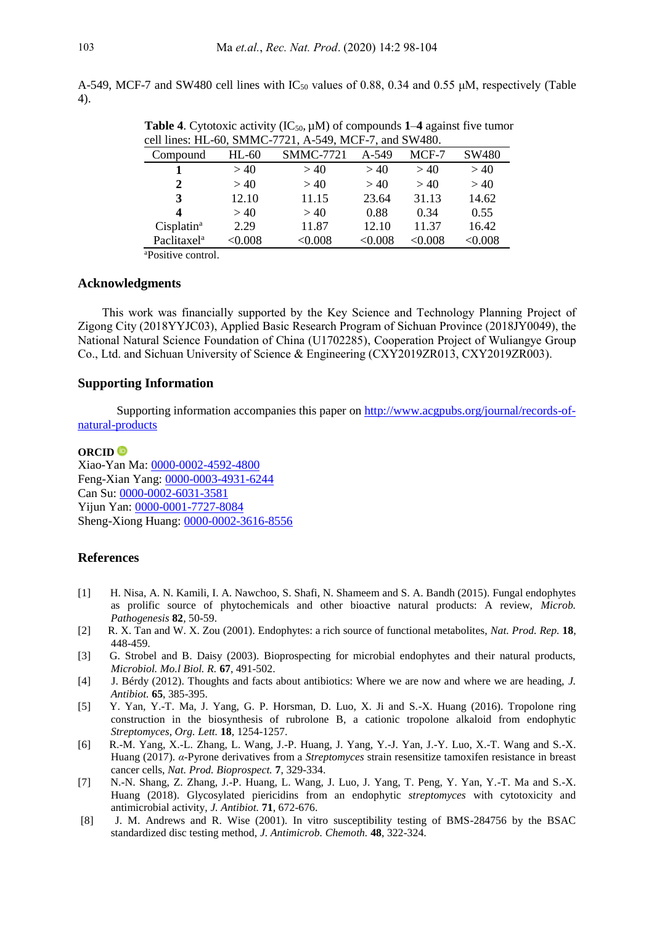A-549, MCF-7 and SW480 cell lines with  $IC_{50}$  values of 0.88, 0.34 and 0.55  $\mu$ M, respectively (Table 4).

| cell lines: HL-60, SMMC-7721, A-549, MCF-7, and SW480. |              |                  |         |         |              |  |
|--------------------------------------------------------|--------------|------------------|---------|---------|--------------|--|
| Compound                                               | HL-60        | <b>SMMC-7721</b> | $A-549$ | MCF-7   | SW480        |  |
|                                                        | >40          | >40              | >40     | >40     | >40          |  |
| $\mathbf{2}$                                           | >40          | >40              | >40     | >40     | >40          |  |
| 3                                                      | 12.10        | 11.15            | 23.64   | 31.13   | 14.62        |  |
| $\boldsymbol{4}$                                       | >40          | >40              | 0.88    | 0.34    | 0.55         |  |
| Cisplatin <sup>a</sup>                                 | 2.29         | 11.87            | 12.10   | 11.37   | 16.42        |  |
| Paclitaxel <sup>a</sup>                                | $<\!\!0.008$ | $<\!\!0.008$     | < 0.008 | < 0.008 | $<\!\!0.008$ |  |

**Table 4.** Cytotoxic activity  $(IC_{50}, \mu M)$  of compounds 1–4 against five tumor

<sup>a</sup>Positive control.

## **Acknowledgments**

This work was financially supported by the Key Science and Technology Planning Project of Zigong City (2018YYJC03), Applied Basic Research Program of Sichuan Province (2018JY0049), the National Natural Science Foundation of China (U1702285), Cooperation Project of Wuliangye Group Co., Ltd. and Sichuan University of Science & Engineering (CXY2019ZR013, CXY2019ZR003).

### **Supporting Information**

Supporting information accompanies this paper on [http://www.acgpubs.org/journal/records-of](http://www.acgpubs.org/journal/records-of-natural-products)[natural-products](http://www.acgpubs.org/journal/records-of-natural-products)

#### **ORCID**

Xiao-Yan Ma: [0000-0002-4592-4800](http://orcid.org/0000-0002-4592-4800) Feng-Xian Yang: [0000-0003-4931-6244](http://orcid.org/0000-0003-4931-6244) Can Su: [0000-0002-6031-3581](http://orcid.org/0000-0002-6031-3581) Yijun Yan: [0000-0001-7727-8084](http://orcid.org/0000-0001-7727-8084) Sheng-Xiong Huang: [0000-0002-3616-8556](http://orcid.org/0000-0002-3616-8556)

#### **References**

- [1] H. Nisa, A. N. Kamili, I. A. Nawchoo, S. Shafi, N. Shameem and S. A. Bandh (2015). Fungal endophytes as prolific source of phytochemicals and other bioactive natural products: A review, *Microb. Pathogenesis* **82***,* 50-59.
- [2] R. X. Tan and W. X. Zou (2001). Endophytes: a rich source of functional metabolites, *Nat. Prod. Rep.* **18**, 448-459.
- [3] G. Strobel and B. Daisy (2003). Bioprospecting for microbial endophytes and their natural products, *Microbiol. Mo.l Biol. R.* **67**, 491-502.
- [4] J. Bérdy (2012). Thoughts and facts about antibiotics: Where we are now and where we are heading, *J. Antibiot.* **65**, 385-395.
- [5] Y. Yan, Y.-T. Ma, J. Yang, G. P. Horsman, D. Luo, X. Ji and S.-X. Huang (2016). Tropolone ring construction in the biosynthesis of rubrolone B, a cationic tropolone alkaloid from endophytic *Streptomyces*, *Org. Lett.* **18**, 1254-1257.
- [6] R.-M. Yang, X.-L. Zhang, L. Wang, J.-P. Huang, J. Yang, Y.-J. Yan, J.-Y. Luo, X.-T. Wang and S.-X. Huang (2017). *α*-Pyrone derivatives from a *Streptomyces* strain resensitize tamoxifen resistance in breast cancer cells, *Nat. Prod. Bioprospect.* **7**, 329-334.
- [7] N.-N. Shang, Z. Zhang, J.-P. Huang, L. Wang, J. Luo, J. Yang, T. Peng, Y. Yan, Y.-T. Ma and S.-X. Huang (2018). Glycosylated piericidins from an endophytic *streptomyces* with cytotoxicity and antimicrobial activity, *J. Antibiot.* **71**, 672-676.
- [8] J. M. Andrews and R. Wise (2001). In vitro susceptibility testing of BMS-284756 by the BSAC standardized disc testing method, *J. Antimicrob. Chemoth.* **48**, 322-324.